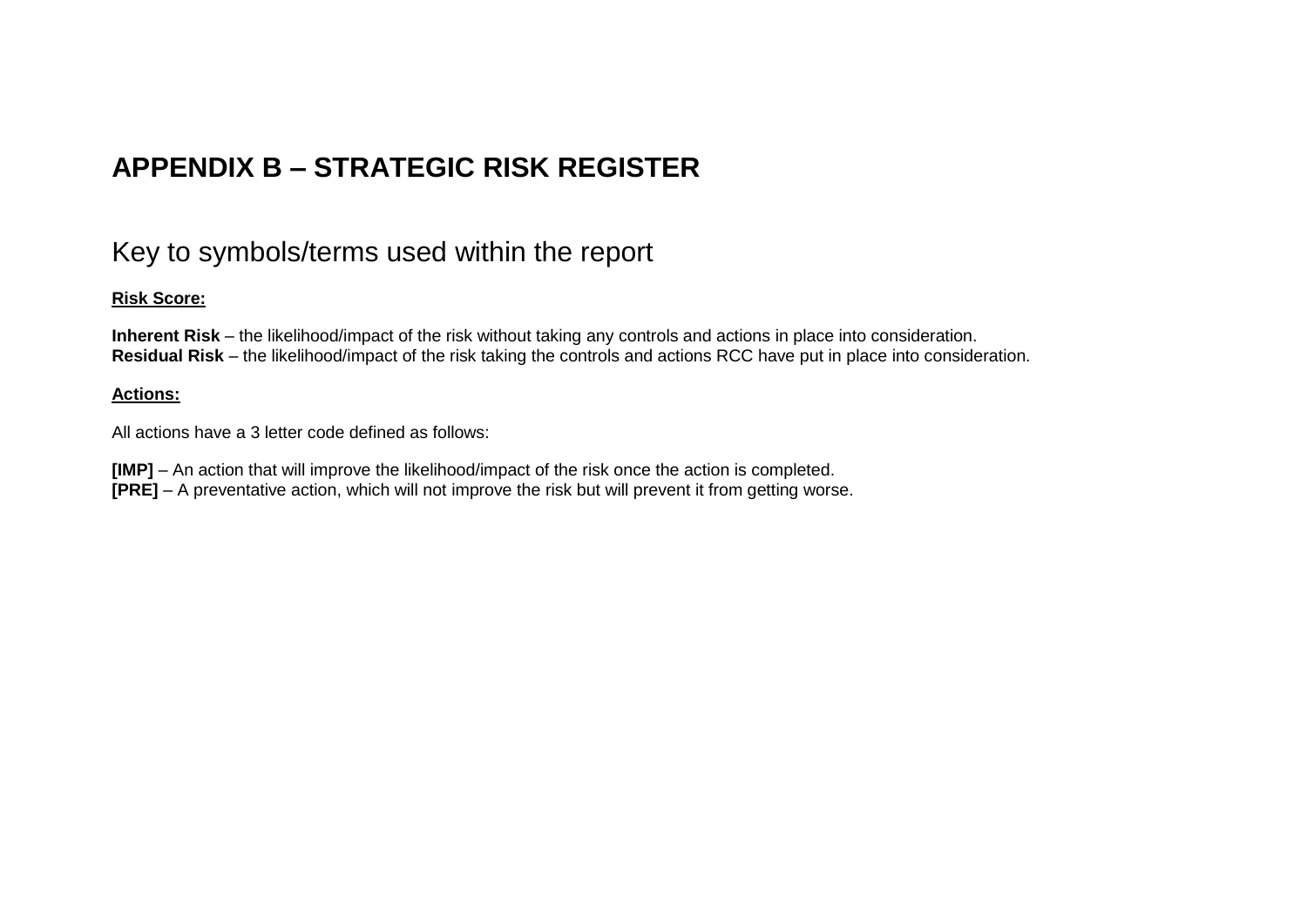# **APPENDIX B – STRATEGIC RISK REGISTER**

## Key to symbols/terms used within the report

### **Risk Score:**

**Inherent Risk** – the likelihood/impact of the risk without taking any controls and actions in place into consideration. **Residual Risk** – the likelihood/impact of the risk taking the controls and actions RCC have put in place into consideration.

#### **Actions:**

All actions have a 3 letter code defined as follows:

**[IMP]** – An action that will improve the likelihood/impact of the risk once the action is completed. **[PRE]** – A preventative action, which will not improve the risk but will prevent it from getting worse.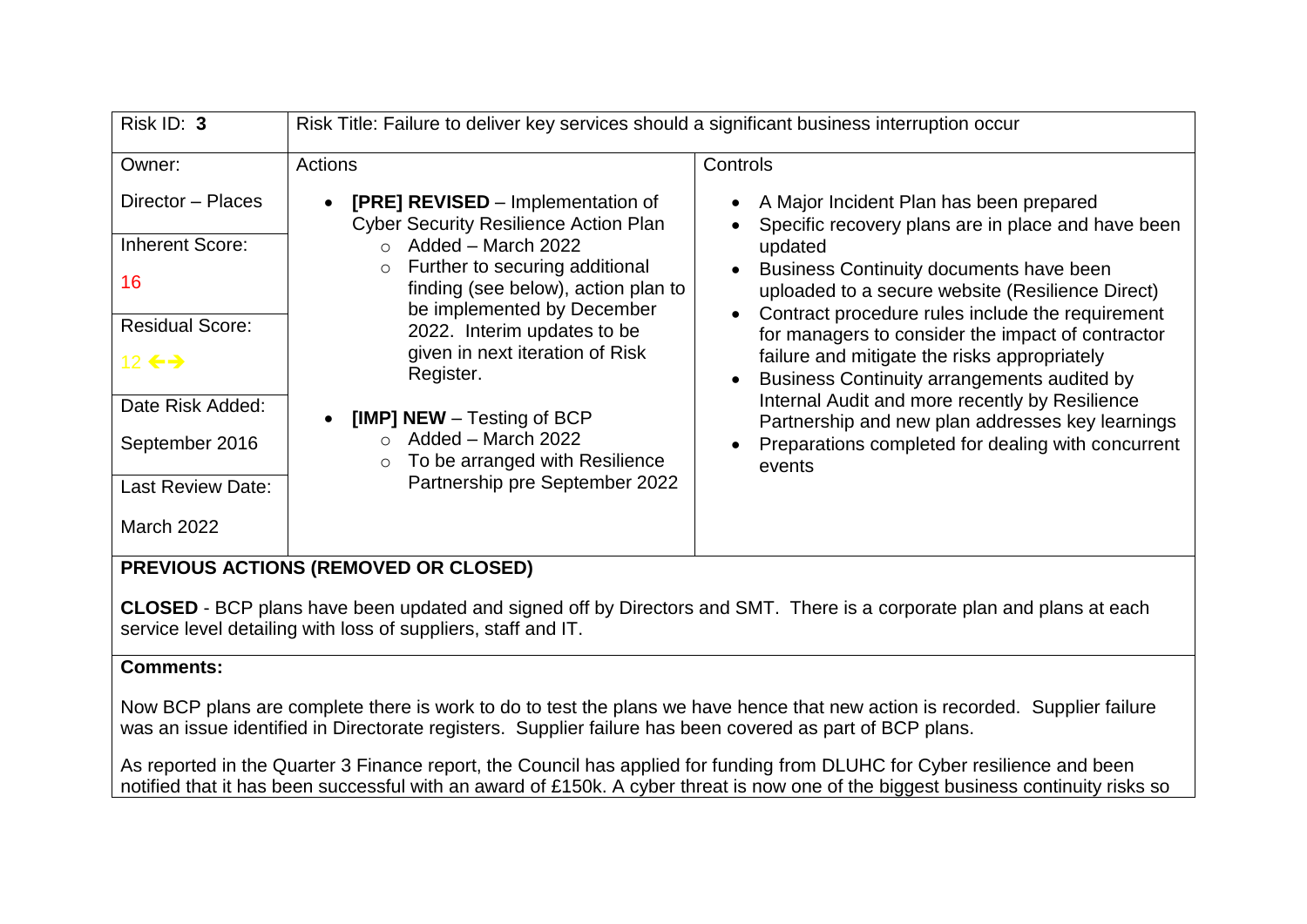| Risk ID: 3                                                                                                                                                                                           | Risk Title: Failure to deliver key services should a significant business interruption occur                                                                                                                                                                                                                                                                                                                                                                                         |                                                                                                                                                                                                                                                                                                                                                                                                                                                                                                                                                                                                   |
|------------------------------------------------------------------------------------------------------------------------------------------------------------------------------------------------------|--------------------------------------------------------------------------------------------------------------------------------------------------------------------------------------------------------------------------------------------------------------------------------------------------------------------------------------------------------------------------------------------------------------------------------------------------------------------------------------|---------------------------------------------------------------------------------------------------------------------------------------------------------------------------------------------------------------------------------------------------------------------------------------------------------------------------------------------------------------------------------------------------------------------------------------------------------------------------------------------------------------------------------------------------------------------------------------------------|
| Owner:<br>Director - Places<br><b>Inherent Score:</b><br>16<br><b>Residual Score:</b><br>12 $\leftrightarrow$<br>Date Risk Added:<br>September 2016<br><b>Last Review Date:</b><br><b>March 2022</b> | Actions<br><b>[PRE] REVISED</b> – Implementation of<br><b>Cyber Security Resilience Action Plan</b><br>Added - March 2022<br>$\cap$<br>Further to securing additional<br>$\circ$<br>finding (see below), action plan to<br>be implemented by December<br>2022. Interim updates to be<br>given in next iteration of Risk<br>Register.<br>[IMP] NEW - Testing of BCP<br>Added - March 2022<br>$\bigcap$<br>To be arranged with Resilience<br>$\circ$<br>Partnership pre September 2022 | Controls<br>A Major Incident Plan has been prepared<br>Specific recovery plans are in place and have been<br>updated<br>Business Continuity documents have been<br>uploaded to a secure website (Resilience Direct)<br>Contract procedure rules include the requirement<br>for managers to consider the impact of contractor<br>failure and mitigate the risks appropriately<br>Business Continuity arrangements audited by<br>Internal Audit and more recently by Resilience<br>Partnership and new plan addresses key learnings<br>Preparations completed for dealing with concurrent<br>events |
|                                                                                                                                                                                                      | BBFUAUA LATIAUA (BEUAUEB AB ALAAFBU                                                                                                                                                                                                                                                                                                                                                                                                                                                  |                                                                                                                                                                                                                                                                                                                                                                                                                                                                                                                                                                                                   |

**CLOSED** - BCP plans have been updated and signed off by Directors and SMT. There is a corporate plan and plans at each service level detailing with loss of suppliers, staff and IT.

### **Comments:**

Now BCP plans are complete there is work to do to test the plans we have hence that new action is recorded. Supplier failure was an issue identified in Directorate registers. Supplier failure has been covered as part of BCP plans.

As reported in the Quarter 3 Finance report, the Council has applied for funding from DLUHC for Cyber resilience and been notified that it has been successful with an award of £150k. A cyber threat is now one of the biggest business continuity risks so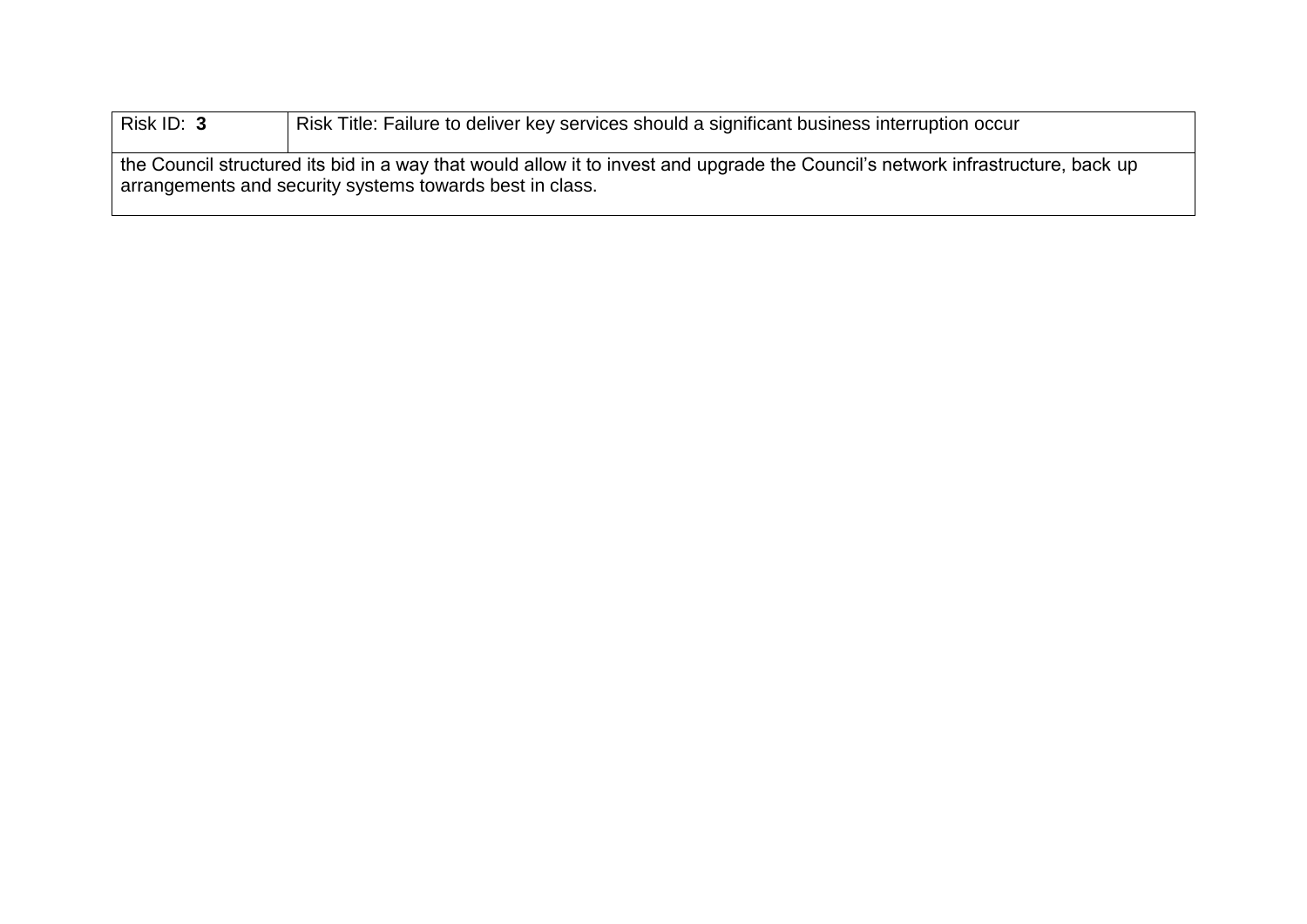| Risk ID: 3 | Risk Title: Failure to deliver key services should a significant business interruption occur                                                                                                |
|------------|---------------------------------------------------------------------------------------------------------------------------------------------------------------------------------------------|
|            | the Council structured its bid in a way that would allow it to invest and upgrade the Council's network infrastructure, back up<br>arrangements and security systems towards best in class. |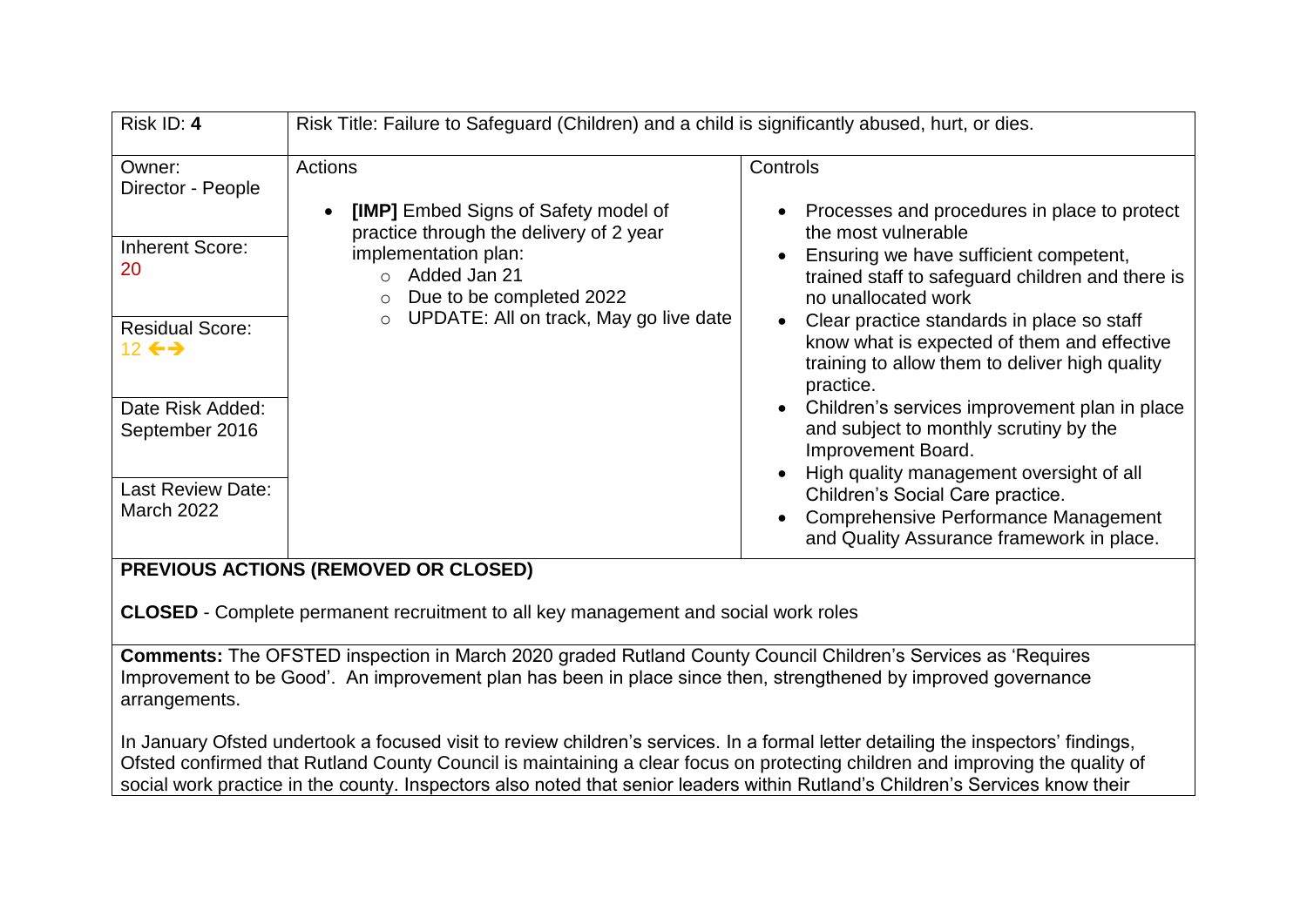| Risk ID: 4                                                                                                                        | Risk Title: Failure to Safeguard (Children) and a child is significantly abused, hurt, or dies.                                                                                                                               |                                                                                                                                                                                                                                                                                                                                                                                                                   |
|-----------------------------------------------------------------------------------------------------------------------------------|-------------------------------------------------------------------------------------------------------------------------------------------------------------------------------------------------------------------------------|-------------------------------------------------------------------------------------------------------------------------------------------------------------------------------------------------------------------------------------------------------------------------------------------------------------------------------------------------------------------------------------------------------------------|
| Owner:<br>Director - People<br><b>Inherent Score:</b><br>20<br><b>Residual Score:</b><br>12 $\leftrightarrow$<br>Date Risk Added: | Actions<br>[IMP] Embed Signs of Safety model of<br>practice through the delivery of 2 year<br>implementation plan:<br>Added Jan 21<br>$\cap$<br>Due to be completed 2022<br>UPDATE: All on track, May go live date<br>$\circ$ | Controls<br>Processes and procedures in place to protect<br>the most vulnerable<br>Ensuring we have sufficient competent,<br>trained staff to safeguard children and there is<br>no unallocated work<br>Clear practice standards in place so staff<br>know what is expected of them and effective<br>training to allow them to deliver high quality<br>practice.<br>Children's services improvement plan in place |
| September 2016<br><b>Last Review Date:</b><br><b>March 2022</b>                                                                   |                                                                                                                                                                                                                               | and subject to monthly scrutiny by the<br>Improvement Board.<br>High quality management oversight of all<br>Children's Social Care practice.<br><b>Comprehensive Performance Management</b><br>and Quality Assurance framework in place.                                                                                                                                                                          |
|                                                                                                                                   | BREVIAUS ASTIANS (BEMAVER AR SLASER)                                                                                                                                                                                          |                                                                                                                                                                                                                                                                                                                                                                                                                   |

**CLOSED** - Complete permanent recruitment to all key management and social work roles

**Comments:** The OFSTED inspection in March 2020 graded Rutland County Council Children's Services as 'Requires Improvement to be Good'. An improvement plan has been in place since then, strengthened by improved governance arrangements.

In January Ofsted undertook a focused visit to review children's services. In a formal letter detailing the inspectors' findings, Ofsted confirmed that Rutland County Council is maintaining a clear focus on protecting children and improving the quality of social work practice in the county. Inspectors also noted that senior leaders within Rutland's Children's Services know their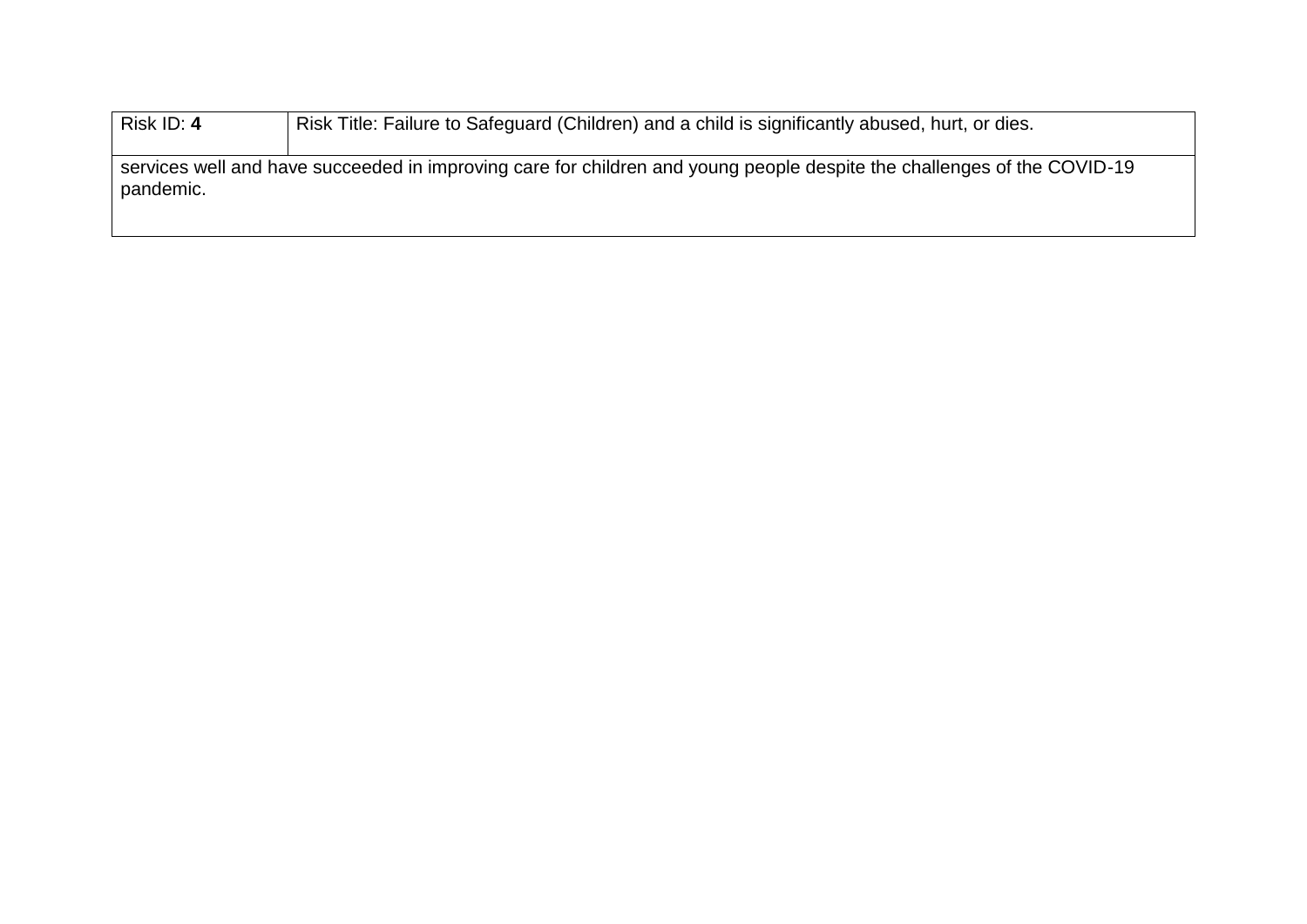| Risk ID: 4                                                                                                                           | Risk Title: Failure to Safeguard (Children) and a child is significantly abused, hurt, or dies. |
|--------------------------------------------------------------------------------------------------------------------------------------|-------------------------------------------------------------------------------------------------|
| services well and have succeeded in improving care for children and young people despite the challenges of the COVID-19<br>pandemic. |                                                                                                 |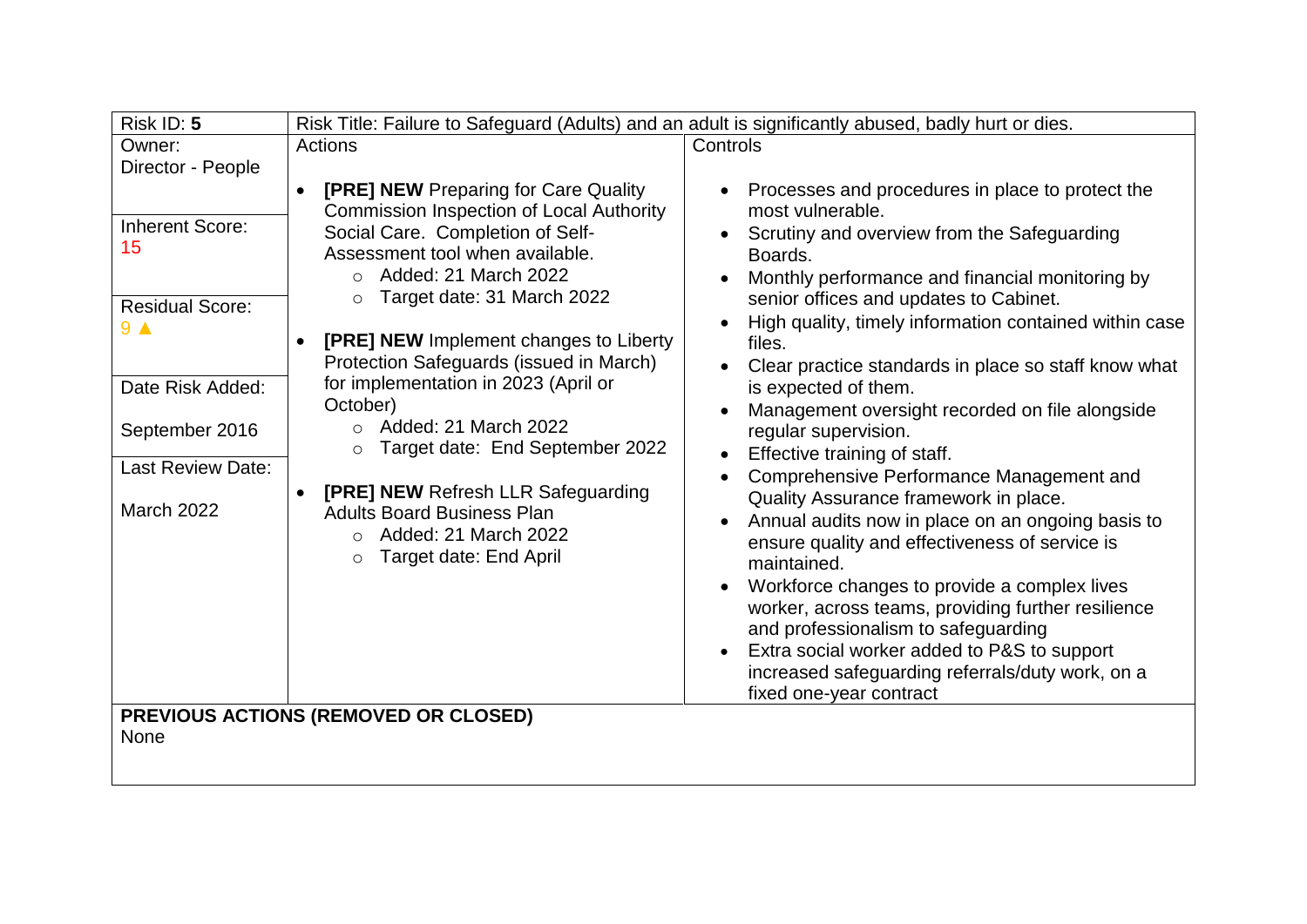| Risk ID: 5                                                               | Risk Title: Failure to Safeguard (Adults) and an adult is significantly abused, badly hurt or dies.                                                                                                                                                                                                                                    |                                                                                                                                                                                                                                                                                                                                                                                                                                                                                    |
|--------------------------------------------------------------------------|----------------------------------------------------------------------------------------------------------------------------------------------------------------------------------------------------------------------------------------------------------------------------------------------------------------------------------------|------------------------------------------------------------------------------------------------------------------------------------------------------------------------------------------------------------------------------------------------------------------------------------------------------------------------------------------------------------------------------------------------------------------------------------------------------------------------------------|
| Owner:                                                                   | Actions                                                                                                                                                                                                                                                                                                                                | Controls                                                                                                                                                                                                                                                                                                                                                                                                                                                                           |
| Director - People                                                        |                                                                                                                                                                                                                                                                                                                                        |                                                                                                                                                                                                                                                                                                                                                                                                                                                                                    |
| <b>Inherent Score:</b><br>15<br><b>Residual Score:</b><br>9 <sub>A</sub> | <b>[PRE] NEW Preparing for Care Quality</b><br><b>Commission Inspection of Local Authority</b><br>Social Care. Completion of Self-<br>Assessment tool when available.<br>Added: 21 March 2022<br>$\circ$<br>Target date: 31 March 2022<br>$\circ$<br>[PRE] NEW Implement changes to Liberty<br>Protection Safeguards (issued in March) | Processes and procedures in place to protect the<br>most vulnerable.<br>Scrutiny and overview from the Safeguarding<br>Boards.<br>Monthly performance and financial monitoring by<br>senior offices and updates to Cabinet.<br>High quality, timely information contained within case<br>files.<br>Clear practice standards in place so staff know what                                                                                                                            |
| Date Risk Added:<br>September 2016                                       | for implementation in 2023 (April or<br>October)<br>$\circ$ Added: 21 March 2022                                                                                                                                                                                                                                                       | is expected of them.<br>Management oversight recorded on file alongside<br>$\bullet$<br>regular supervision.                                                                                                                                                                                                                                                                                                                                                                       |
|                                                                          | Target date: End September 2022<br>$\circ$                                                                                                                                                                                                                                                                                             | Effective training of staff.                                                                                                                                                                                                                                                                                                                                                                                                                                                       |
| Last Review Date:<br><b>March 2022</b>                                   | <b>[PRE] NEW Refresh LLR Safeguarding</b><br><b>Adults Board Business Plan</b><br>Added: 21 March 2022<br>$\circ$<br>Target date: End April<br>$\circ$                                                                                                                                                                                 | Comprehensive Performance Management and<br>Quality Assurance framework in place.<br>Annual audits now in place on an ongoing basis to<br>ensure quality and effectiveness of service is<br>maintained.<br>Workforce changes to provide a complex lives<br>worker, across teams, providing further resilience<br>and professionalism to safeguarding<br>Extra social worker added to P&S to support<br>increased safeguarding referrals/duty work, on a<br>fixed one-year contract |
| <b>None</b>                                                              | <b>PREVIOUS ACTIONS (REMOVED OR CLOSED)</b>                                                                                                                                                                                                                                                                                            |                                                                                                                                                                                                                                                                                                                                                                                                                                                                                    |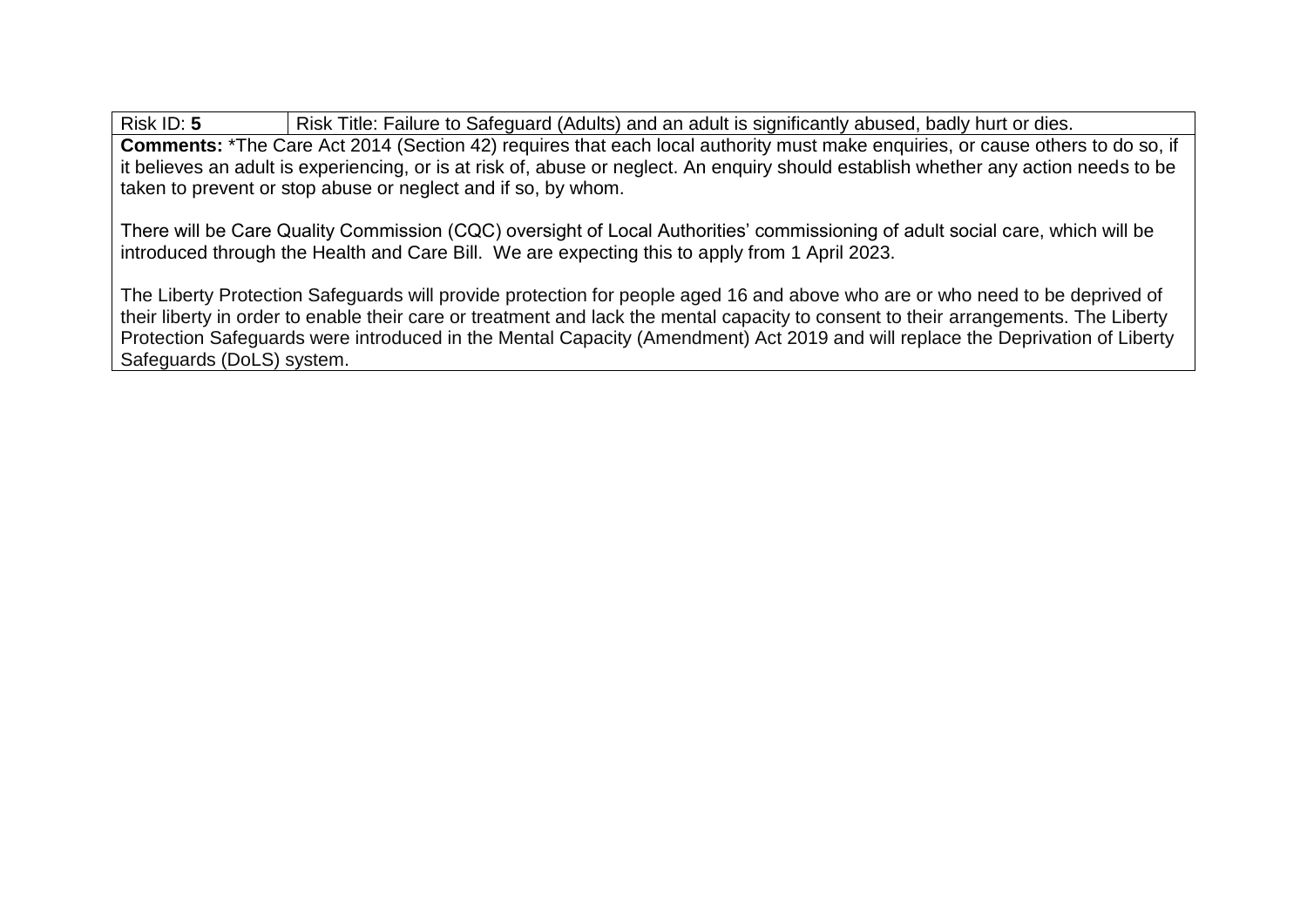Risk ID: 5 Risk Title: Failure to Safeguard (Adults) and an adult is significantly abused, badly hurt or dies. **Comments:** \*The Care Act 2014 (Section 42) requires that each local authority must make enquiries, or cause others to do so, if it believes an adult is experiencing, or is at risk of, abuse or neglect. An enquiry should establish whether any action needs to be taken to prevent or stop abuse or neglect and if so, by whom.

There will be Care Quality Commission (CQC) oversight of Local Authorities' commissioning of adult social care, which will be introduced through the Health and Care Bill. We are expecting this to apply from 1 April 2023.

The Liberty Protection Safeguards will provide protection for people aged 16 and above who are or who need to be deprived of their liberty in order to enable their care or treatment and lack the mental capacity to consent to their arrangements. The Liberty Protection Safeguards were introduced in the Mental Capacity (Amendment) Act 2019 and will replace the Deprivation of Liberty Safeguards (DoLS) system.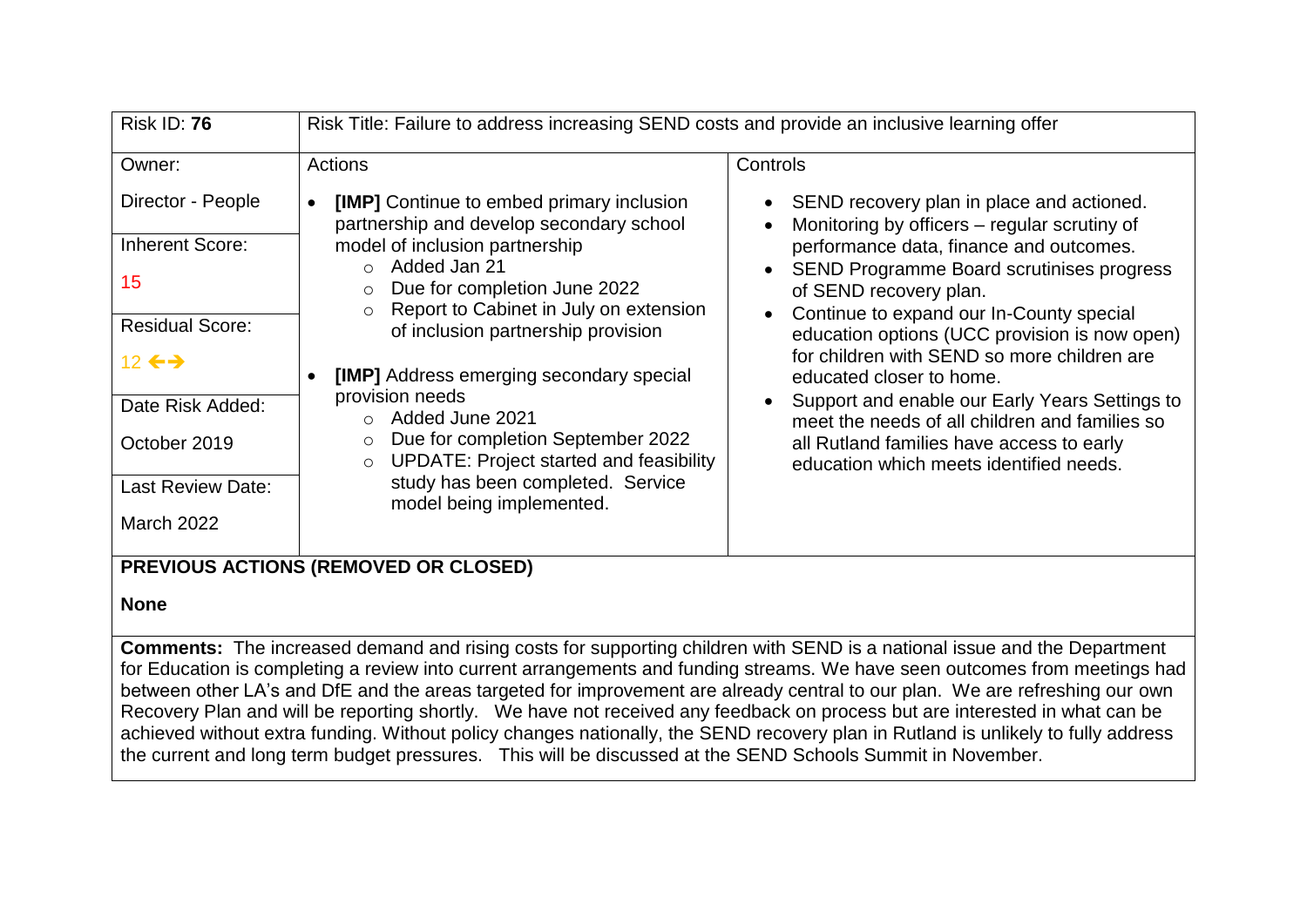| <b>Risk ID: 76</b>                                                                                                                                                                       | Risk Title: Failure to address increasing SEND costs and provide an inclusive learning offer                                                                                                                                                                                                                                                                                                                                                                                                                                                                         |                                                                                                                                                                                                                                                                                                                                                                                                                                                                                                                                                                                        |
|------------------------------------------------------------------------------------------------------------------------------------------------------------------------------------------|----------------------------------------------------------------------------------------------------------------------------------------------------------------------------------------------------------------------------------------------------------------------------------------------------------------------------------------------------------------------------------------------------------------------------------------------------------------------------------------------------------------------------------------------------------------------|----------------------------------------------------------------------------------------------------------------------------------------------------------------------------------------------------------------------------------------------------------------------------------------------------------------------------------------------------------------------------------------------------------------------------------------------------------------------------------------------------------------------------------------------------------------------------------------|
| Owner:                                                                                                                                                                                   | Actions                                                                                                                                                                                                                                                                                                                                                                                                                                                                                                                                                              | Controls                                                                                                                                                                                                                                                                                                                                                                                                                                                                                                                                                                               |
| Director - People<br><b>Inherent Score:</b><br>15<br><b>Residual Score:</b><br>12 $\leftrightarrow$<br>Date Risk Added:<br>October 2019<br><b>Last Review Date:</b><br><b>March 2022</b> | <b>[IMP]</b> Continue to embed primary inclusion<br>partnership and develop secondary school<br>model of inclusion partnership<br>$\circ$ Added Jan 21<br>Due for completion June 2022<br>$\circ$<br>Report to Cabinet in July on extension<br>$\circ$<br>of inclusion partnership provision<br>[IMP] Address emerging secondary special<br>provision needs<br>$\circ$ Added June 2021<br>Due for completion September 2022<br>$\circ$<br><b>UPDATE: Project started and feasibility</b><br>$\circ$<br>study has been completed. Service<br>model being implemented. | SEND recovery plan in place and actioned.<br>Monitoring by officers – regular scrutiny of<br>performance data, finance and outcomes.<br><b>SEND Programme Board scrutinises progress</b><br>of SEND recovery plan.<br>Continue to expand our In-County special<br>education options (UCC provision is now open)<br>for children with SEND so more children are<br>educated closer to home.<br>Support and enable our Early Years Settings to<br>meet the needs of all children and families so<br>all Rutland families have access to early<br>education which meets identified needs. |
|                                                                                                                                                                                          | <b>PREVIOUS ACTIONS (REMOVED OR CLOSED)</b>                                                                                                                                                                                                                                                                                                                                                                                                                                                                                                                          |                                                                                                                                                                                                                                                                                                                                                                                                                                                                                                                                                                                        |

### **None**

**Comments:** The increased demand and rising costs for supporting children with SEND is a national issue and the Department for Education is completing a review into current arrangements and funding streams. We have seen outcomes from meetings had between other LA's and DfE and the areas targeted for improvement are already central to our plan. We are refreshing our own Recovery Plan and will be reporting shortly. We have not received any feedback on process but are interested in what can be achieved without extra funding. Without policy changes nationally, the SEND recovery plan in Rutland is unlikely to fully address the current and long term budget pressures. This will be discussed at the SEND Schools Summit in November.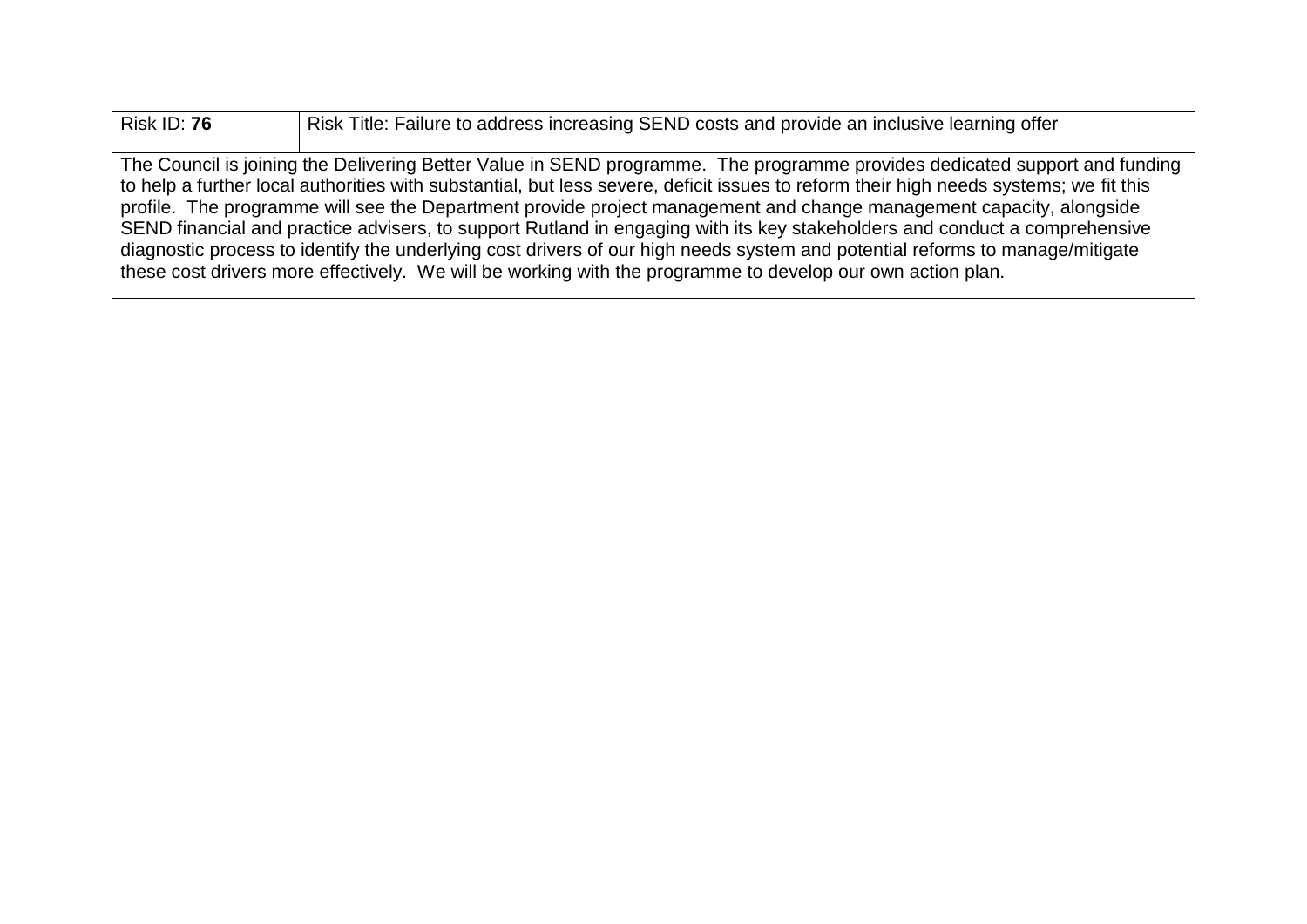Risk ID: **76** Risk Title: Failure to address increasing SEND costs and provide an inclusive learning offer The Council is joining the Delivering Better Value in SEND programme. The programme provides dedicated support and funding to help a further local authorities with substantial, but less severe, deficit issues to reform their high needs systems; we fit this profile. The programme will see the Department provide project management and change management capacity, alongside SEND financial and practice advisers, to support Rutland in engaging with its key stakeholders and conduct a comprehensive diagnostic process to identify the underlying cost drivers of our high needs system and potential reforms to manage/mitigate these cost drivers more effectively. We will be working with the programme to develop our own action plan.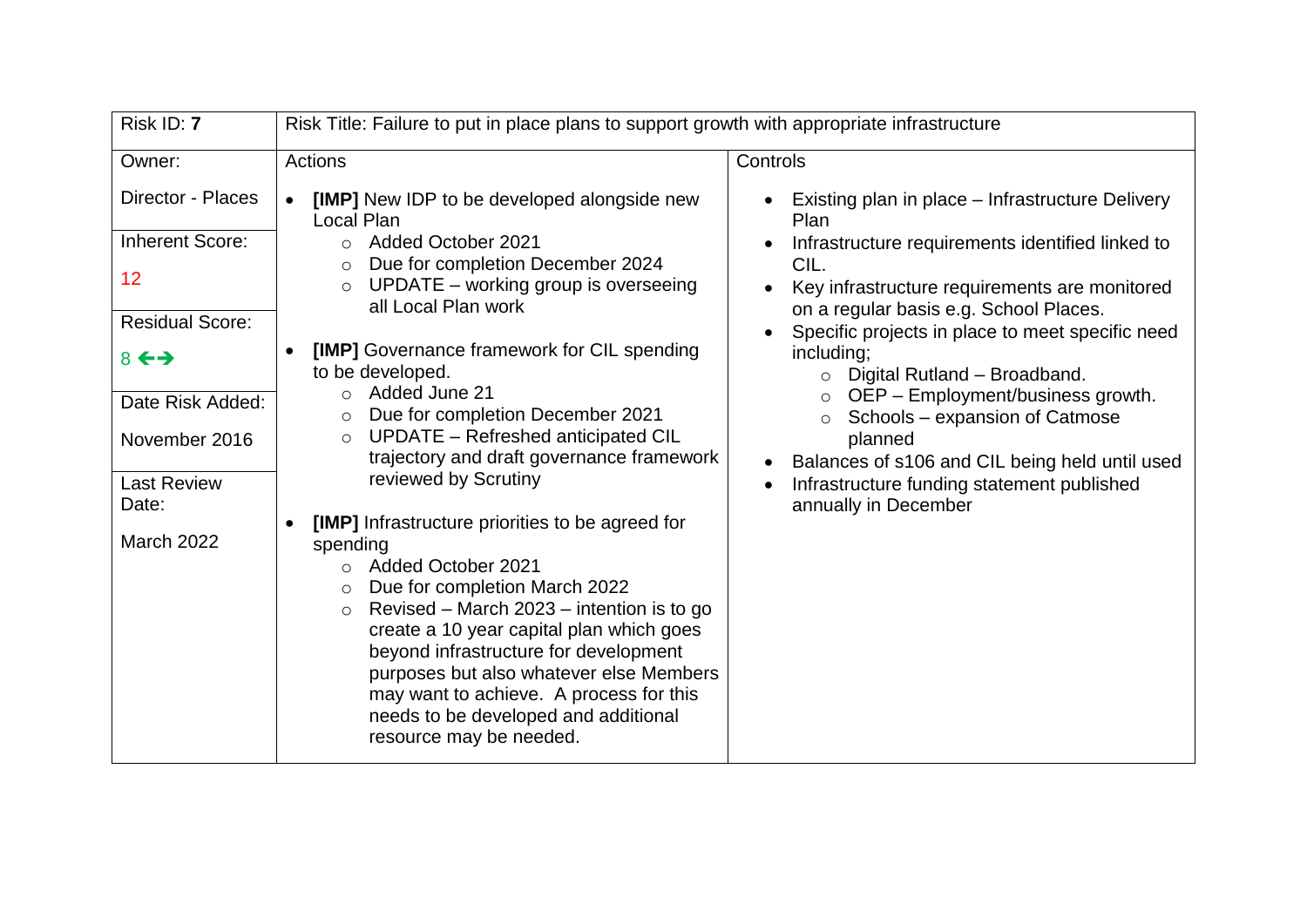| Risk ID: 7                  | Risk Title: Failure to put in place plans to support growth with appropriate infrastructure                                                                                                                                                                                                                                                                                             |                                                                                                 |
|-----------------------------|-----------------------------------------------------------------------------------------------------------------------------------------------------------------------------------------------------------------------------------------------------------------------------------------------------------------------------------------------------------------------------------------|-------------------------------------------------------------------------------------------------|
| Owner:                      | Actions                                                                                                                                                                                                                                                                                                                                                                                 | Controls                                                                                        |
| <b>Director - Places</b>    | [IMP] New IDP to be developed alongside new<br>$\bullet$<br><b>Local Plan</b>                                                                                                                                                                                                                                                                                                           | Existing plan in place – Infrastructure Delivery<br>Plan                                        |
| <b>Inherent Score:</b>      | <b>Added October 2021</b><br>$\circ$                                                                                                                                                                                                                                                                                                                                                    | Infrastructure requirements identified linked to                                                |
| 12                          | Due for completion December 2024<br>$\circ$<br>UPDATE - working group is overseeing<br>$\circ$<br>all Local Plan work                                                                                                                                                                                                                                                                   | CIL.<br>Key infrastructure requirements are monitored<br>on a regular basis e.g. School Places. |
| <b>Residual Score:</b>      |                                                                                                                                                                                                                                                                                                                                                                                         | Specific projects in place to meet specific need                                                |
| $8 \leftrightarrow$         | [IMP] Governance framework for CIL spending<br>$\bullet$<br>to be developed.                                                                                                                                                                                                                                                                                                            | including;<br>Digital Rutland - Broadband.<br>$\circ$                                           |
| Date Risk Added:            | Added June 21<br>$\circ$<br>Due for completion December 2021<br>$\circ$                                                                                                                                                                                                                                                                                                                 | $\circ$ OEP – Employment/business growth.<br>Schools - expansion of Catmose<br>$\circ$          |
| November 2016               | UPDATE - Refreshed anticipated CIL<br>$\circ$<br>trajectory and draft governance framework                                                                                                                                                                                                                                                                                              | planned<br>Balances of s106 and CIL being held until used                                       |
| <b>Last Review</b><br>Date: | reviewed by Scrutiny                                                                                                                                                                                                                                                                                                                                                                    | Infrastructure funding statement published<br>annually in December                              |
|                             | [IMP] Infrastructure priorities to be agreed for<br>$\bullet$                                                                                                                                                                                                                                                                                                                           |                                                                                                 |
| March 2022                  | spending<br><b>Added October 2021</b><br>$\circ$<br>Due for completion March 2022<br>Revised – March 2023 – intention is to go<br>$\circ$<br>create a 10 year capital plan which goes<br>beyond infrastructure for development<br>purposes but also whatever else Members<br>may want to achieve. A process for this<br>needs to be developed and additional<br>resource may be needed. |                                                                                                 |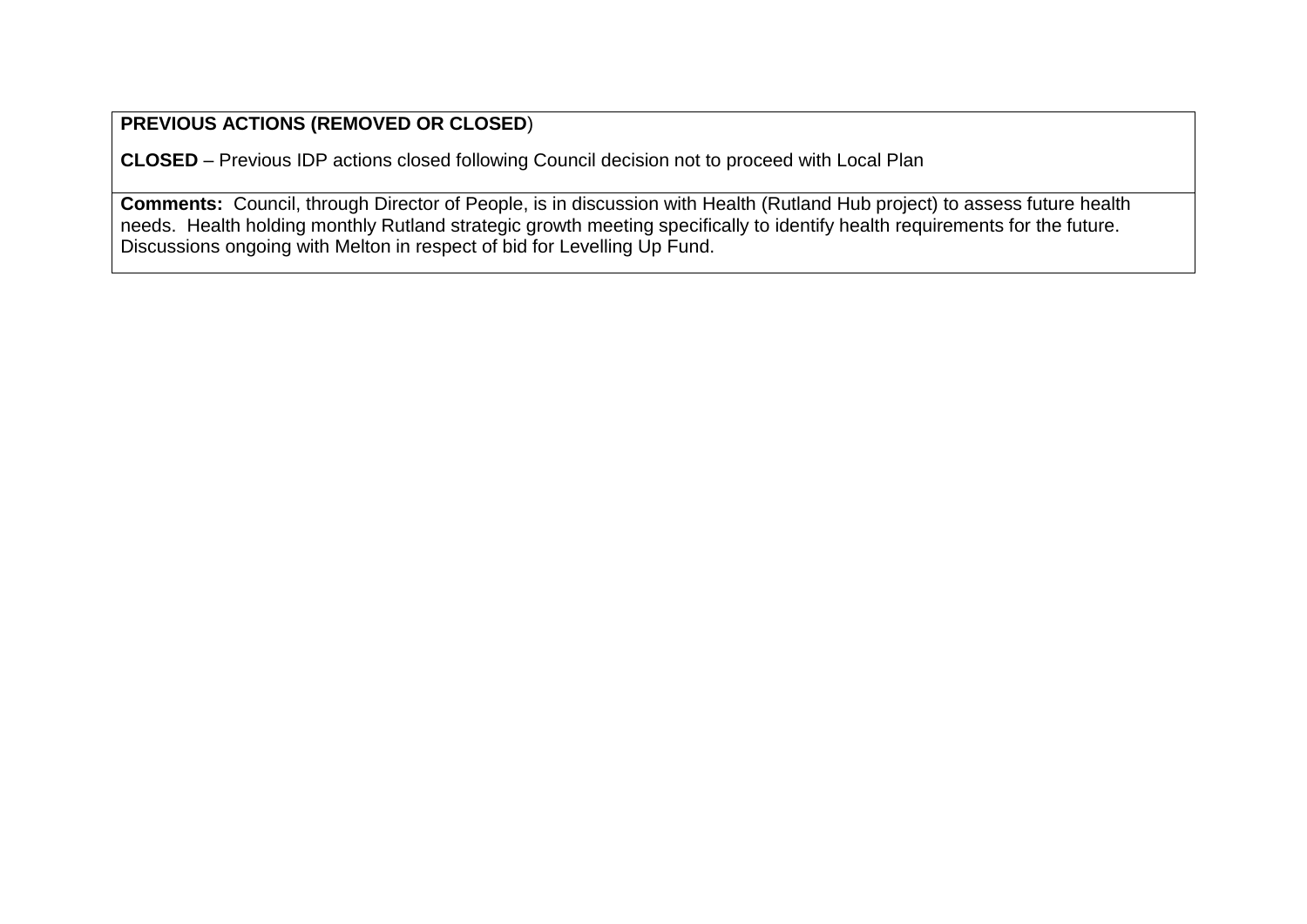**CLOSED** – Previous IDP actions closed following Council decision not to proceed with Local Plan

**Comments:** Council, through Director of People, is in discussion with Health (Rutland Hub project) to assess future health needs. Health holding monthly Rutland strategic growth meeting specifically to identify health requirements for the future. Discussions ongoing with Melton in respect of bid for Levelling Up Fund.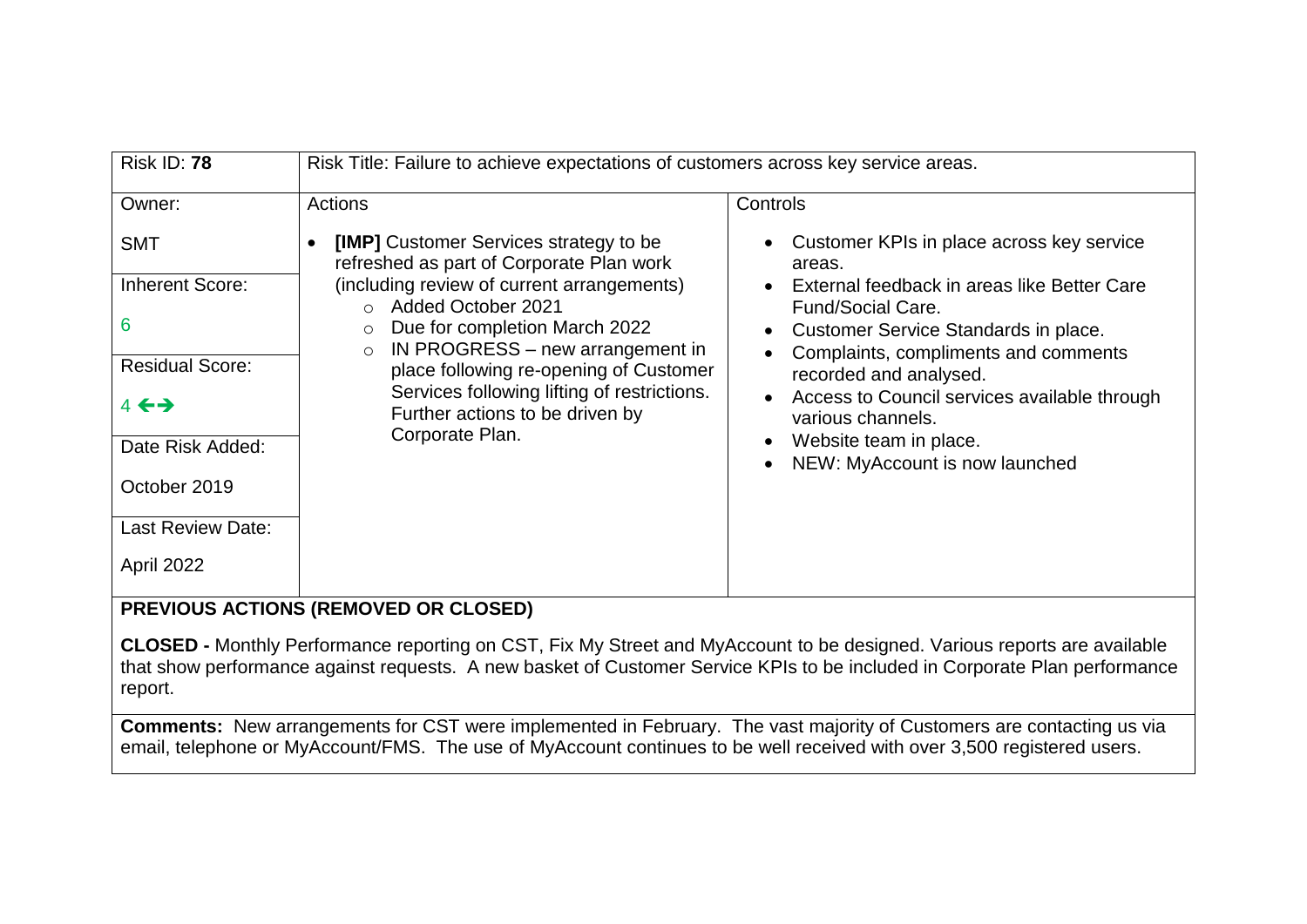| <b>Risk ID: 78</b>       | Risk Title: Failure to achieve expectations of customers across key service areas.        |                                                                                                          |
|--------------------------|-------------------------------------------------------------------------------------------|----------------------------------------------------------------------------------------------------------|
| Owner:                   | Actions                                                                                   | Controls                                                                                                 |
| <b>SMT</b>               | <b>[IMP]</b> Customer Services strategy to be<br>refreshed as part of Corporate Plan work | Customer KPIs in place across key service<br>areas.                                                      |
| <b>Inherent Score:</b>   | (including review of current arrangements)<br>○ Added October 2021                        | External feedback in areas like Better Care                                                              |
| 6                        | Due for completion March 2022<br>$\circ$<br>IN PROGRESS – new arrangement in<br>$\circ$   | <b>Fund/Social Care.</b><br>Customer Service Standards in place.<br>Complaints, compliments and comments |
| <b>Residual Score:</b>   | place following re-opening of Customer                                                    | recorded and analysed.                                                                                   |
| $4 \leftrightarrow$      | Services following lifting of restrictions.<br>Further actions to be driven by            | Access to Council services available through<br>various channels.                                        |
| Date Risk Added:         | Corporate Plan.                                                                           | Website team in place.<br>NEW: MyAccount is now launched                                                 |
| October 2019             |                                                                                           |                                                                                                          |
| <b>Last Review Date:</b> |                                                                                           |                                                                                                          |
| April 2022               |                                                                                           |                                                                                                          |

**CLOSED -** Monthly Performance reporting on CST, Fix My Street and MyAccount to be designed. Various reports are available that show performance against requests. A new basket of Customer Service KPIs to be included in Corporate Plan performance report.

**Comments:** New arrangements for CST were implemented in February. The vast majority of Customers are contacting us via email, telephone or MyAccount/FMS. The use of MyAccount continues to be well received with over 3,500 registered users.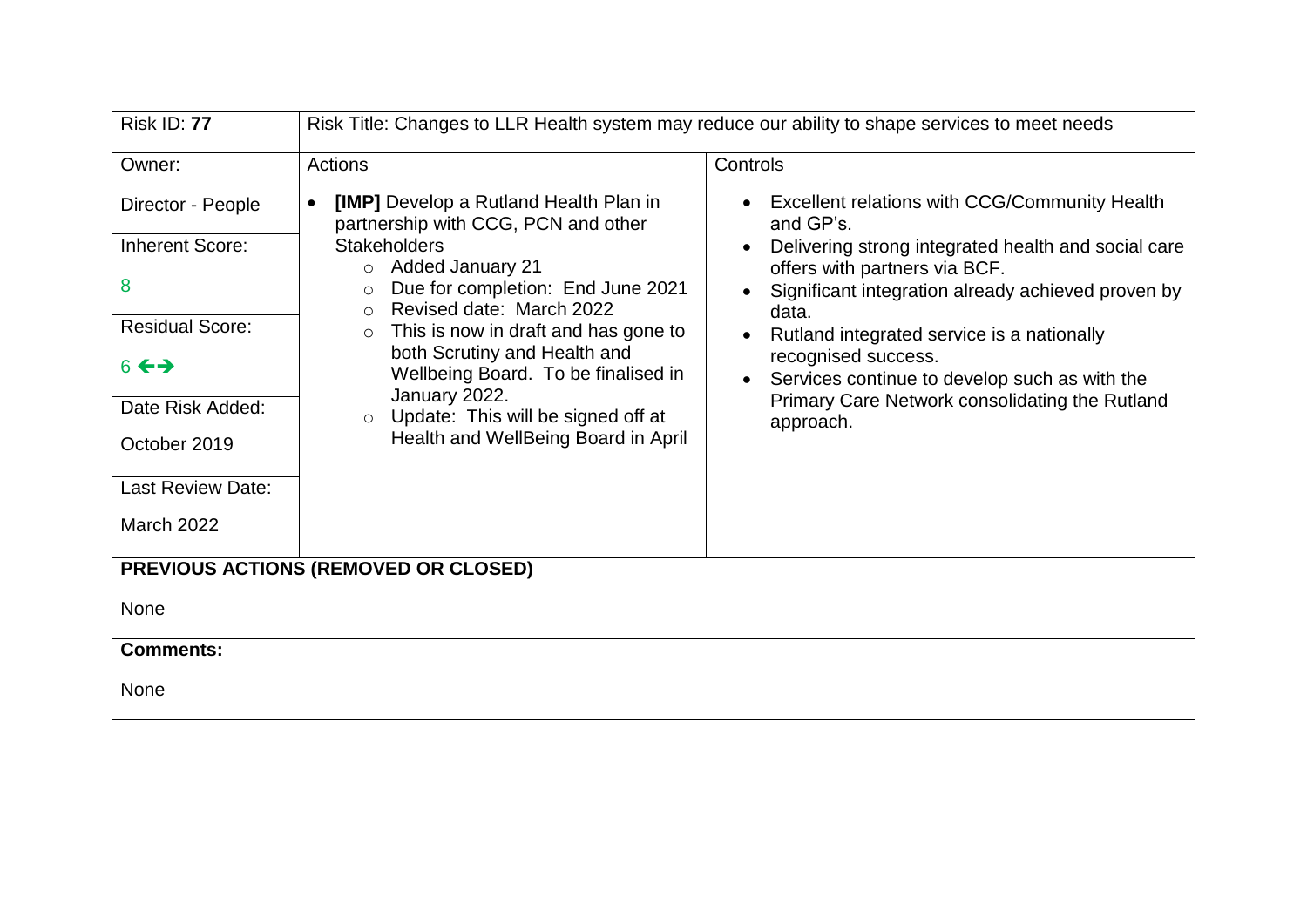| <b>Risk ID: 77</b>                                                                                                                                                              | Risk Title: Changes to LLR Health system may reduce our ability to shape services to meet needs                                                                                                                                                                                                                                                                                                                                                                 |                                                                                                                                                                                                                                                                                                                                                                                                                                                      |
|---------------------------------------------------------------------------------------------------------------------------------------------------------------------------------|-----------------------------------------------------------------------------------------------------------------------------------------------------------------------------------------------------------------------------------------------------------------------------------------------------------------------------------------------------------------------------------------------------------------------------------------------------------------|------------------------------------------------------------------------------------------------------------------------------------------------------------------------------------------------------------------------------------------------------------------------------------------------------------------------------------------------------------------------------------------------------------------------------------------------------|
| Owner:                                                                                                                                                                          | Actions                                                                                                                                                                                                                                                                                                                                                                                                                                                         | Controls                                                                                                                                                                                                                                                                                                                                                                                                                                             |
| Director - People<br><b>Inherent Score:</b><br>8<br><b>Residual Score:</b><br>$6 \leftrightarrow$<br>Date Risk Added:<br>October 2019<br>Last Review Date:<br><b>March 2022</b> | [IMP] Develop a Rutland Health Plan in<br>$\bullet$<br>partnership with CCG, PCN and other<br><b>Stakeholders</b><br>o Added January 21<br>Due for completion: End June 2021<br>$\circ$<br>Revised date: March 2022<br>$\Omega$<br>This is now in draft and has gone to<br>$\circ$<br>both Scrutiny and Health and<br>Wellbeing Board. To be finalised in<br>January 2022.<br>$\circ$ Update: This will be signed off at<br>Health and WellBeing Board in April | <b>Excellent relations with CCG/Community Health</b><br>$\bullet$<br>and GP's.<br>Delivering strong integrated health and social care<br>offers with partners via BCF.<br>Significant integration already achieved proven by<br>$\bullet$<br>data.<br>Rutland integrated service is a nationally<br>$\bullet$<br>recognised success.<br>Services continue to develop such as with the<br>Primary Care Network consolidating the Rutland<br>approach. |
|                                                                                                                                                                                 | PREVIOUS ACTIONS (REMOVED OR CLOSED)                                                                                                                                                                                                                                                                                                                                                                                                                            |                                                                                                                                                                                                                                                                                                                                                                                                                                                      |
| None                                                                                                                                                                            |                                                                                                                                                                                                                                                                                                                                                                                                                                                                 |                                                                                                                                                                                                                                                                                                                                                                                                                                                      |
| <b>Comments:</b>                                                                                                                                                                |                                                                                                                                                                                                                                                                                                                                                                                                                                                                 |                                                                                                                                                                                                                                                                                                                                                                                                                                                      |
| None                                                                                                                                                                            |                                                                                                                                                                                                                                                                                                                                                                                                                                                                 |                                                                                                                                                                                                                                                                                                                                                                                                                                                      |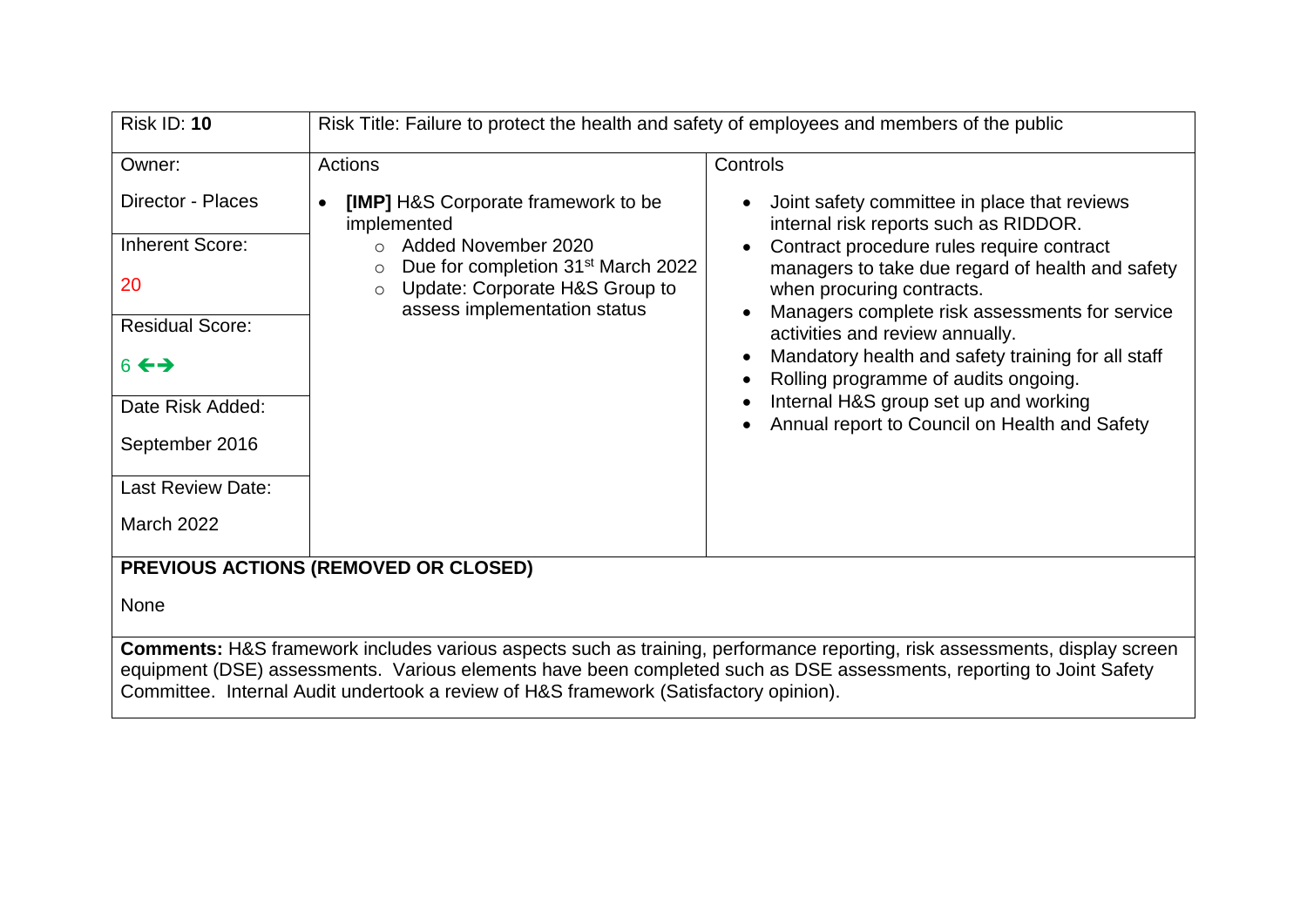| <b>Risk ID: 10</b>                                                                                                                                                                                                                                                                                                                                 | Risk Title: Failure to protect the health and safety of employees and members of the public                                                                                                                                                 |                                                                                                                                                                                                                                                                                                                                                                                                                                                                                                                                                     |
|----------------------------------------------------------------------------------------------------------------------------------------------------------------------------------------------------------------------------------------------------------------------------------------------------------------------------------------------------|---------------------------------------------------------------------------------------------------------------------------------------------------------------------------------------------------------------------------------------------|-----------------------------------------------------------------------------------------------------------------------------------------------------------------------------------------------------------------------------------------------------------------------------------------------------------------------------------------------------------------------------------------------------------------------------------------------------------------------------------------------------------------------------------------------------|
| Owner:<br>Director - Places<br><b>Inherent Score:</b><br>20<br><b>Residual Score:</b><br>$6 \leftrightarrow$<br>Date Risk Added:<br>September 2016<br><b>Last Review Date:</b><br><b>March 2022</b>                                                                                                                                                | Actions<br>[IMP] H&S Corporate framework to be<br>$\bullet$<br>implemented<br>Added November 2020<br>Due for completion 31 <sup>st</sup> March 2022<br>$\circ$<br>Update: Corporate H&S Group to<br>$\circ$<br>assess implementation status | Controls<br>Joint safety committee in place that reviews<br>$\bullet$<br>internal risk reports such as RIDDOR.<br>Contract procedure rules require contract<br>managers to take due regard of health and safety<br>when procuring contracts.<br>Managers complete risk assessments for service<br>activities and review annually.<br>Mandatory health and safety training for all staff<br>Rolling programme of audits ongoing.<br>$\bullet$<br>Internal H&S group set up and working<br>$\bullet$<br>Annual report to Council on Health and Safety |
| PREVIOUS ACTIONS (REMOVED OR CLOSED)                                                                                                                                                                                                                                                                                                               |                                                                                                                                                                                                                                             |                                                                                                                                                                                                                                                                                                                                                                                                                                                                                                                                                     |
| None                                                                                                                                                                                                                                                                                                                                               |                                                                                                                                                                                                                                             |                                                                                                                                                                                                                                                                                                                                                                                                                                                                                                                                                     |
| <b>Comments:</b> H&S framework includes various aspects such as training, performance reporting, risk assessments, display screen<br>equipment (DSE) assessments. Various elements have been completed such as DSE assessments, reporting to Joint Safety<br>Committee. Internal Audit undertook a review of H&S framework (Satisfactory opinion). |                                                                                                                                                                                                                                             |                                                                                                                                                                                                                                                                                                                                                                                                                                                                                                                                                     |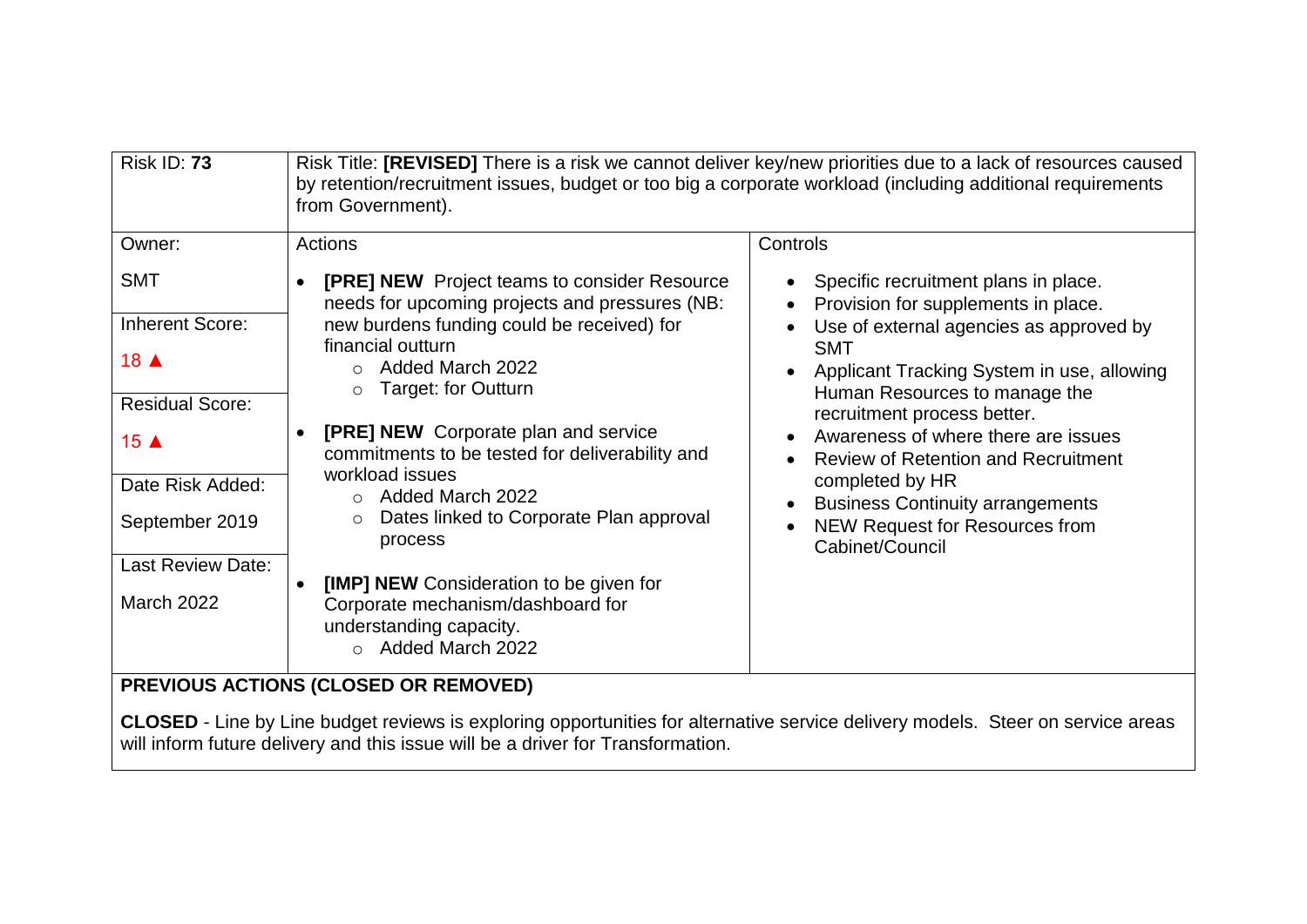| <b>Risk ID: 73</b>                                                                                                             | Risk Title: [REVISED] There is a risk we cannot deliver key/new priorities due to a lack of resources caused<br>by retention/recruitment issues, budget or too big a corporate workload (including additional requirements<br>from Government).                                                                                                                                                                                          |                                                                                                                                                                                                                                                                                                                                                                                                                                                                   |
|--------------------------------------------------------------------------------------------------------------------------------|------------------------------------------------------------------------------------------------------------------------------------------------------------------------------------------------------------------------------------------------------------------------------------------------------------------------------------------------------------------------------------------------------------------------------------------|-------------------------------------------------------------------------------------------------------------------------------------------------------------------------------------------------------------------------------------------------------------------------------------------------------------------------------------------------------------------------------------------------------------------------------------------------------------------|
| Owner:                                                                                                                         | <b>Actions</b>                                                                                                                                                                                                                                                                                                                                                                                                                           | Controls                                                                                                                                                                                                                                                                                                                                                                                                                                                          |
| <b>SMT</b><br><b>Inherent Score:</b><br>18 ▲<br><b>Residual Score:</b><br>15 $\triangle$<br>Date Risk Added:<br>September 2019 | <b>[PRE] NEW</b> Project teams to consider Resource<br>needs for upcoming projects and pressures (NB:<br>new burdens funding could be received) for<br>financial outturn<br>Added March 2022<br>Target: for Outturn<br>$\circ$<br><b>[PRE] NEW</b> Corporate plan and service<br>commitments to be tested for deliverability and<br>workload issues<br>Added March 2022<br>Dates linked to Corporate Plan approval<br>$\circ$<br>process | Specific recruitment plans in place.<br>Provision for supplements in place.<br>Use of external agencies as approved by<br><b>SMT</b><br>Applicant Tracking System in use, allowing<br>Human Resources to manage the<br>recruitment process better.<br>Awareness of where there are issues<br><b>Review of Retention and Recruitment</b><br>completed by HR<br><b>Business Continuity arrangements</b><br><b>NEW Request for Resources from</b><br>Cabinet/Council |
| <b>Last Review Date:</b><br><b>March 2022</b>                                                                                  | [IMP] NEW Consideration to be given for<br>Corporate mechanism/dashboard for<br>understanding capacity.<br>Added March 2022<br>$\cap$<br><b>PREVIOUS ACTIONS (CLOSED OR REMOVED)</b>                                                                                                                                                                                                                                                     |                                                                                                                                                                                                                                                                                                                                                                                                                                                                   |

## **PREVIOUS ACTIONS (CLOSED OR REMOVED)**

**CLOSED** - Line by Line budget reviews is exploring opportunities for alternative service delivery models. Steer on service areas will inform future delivery and this issue will be a driver for Transformation.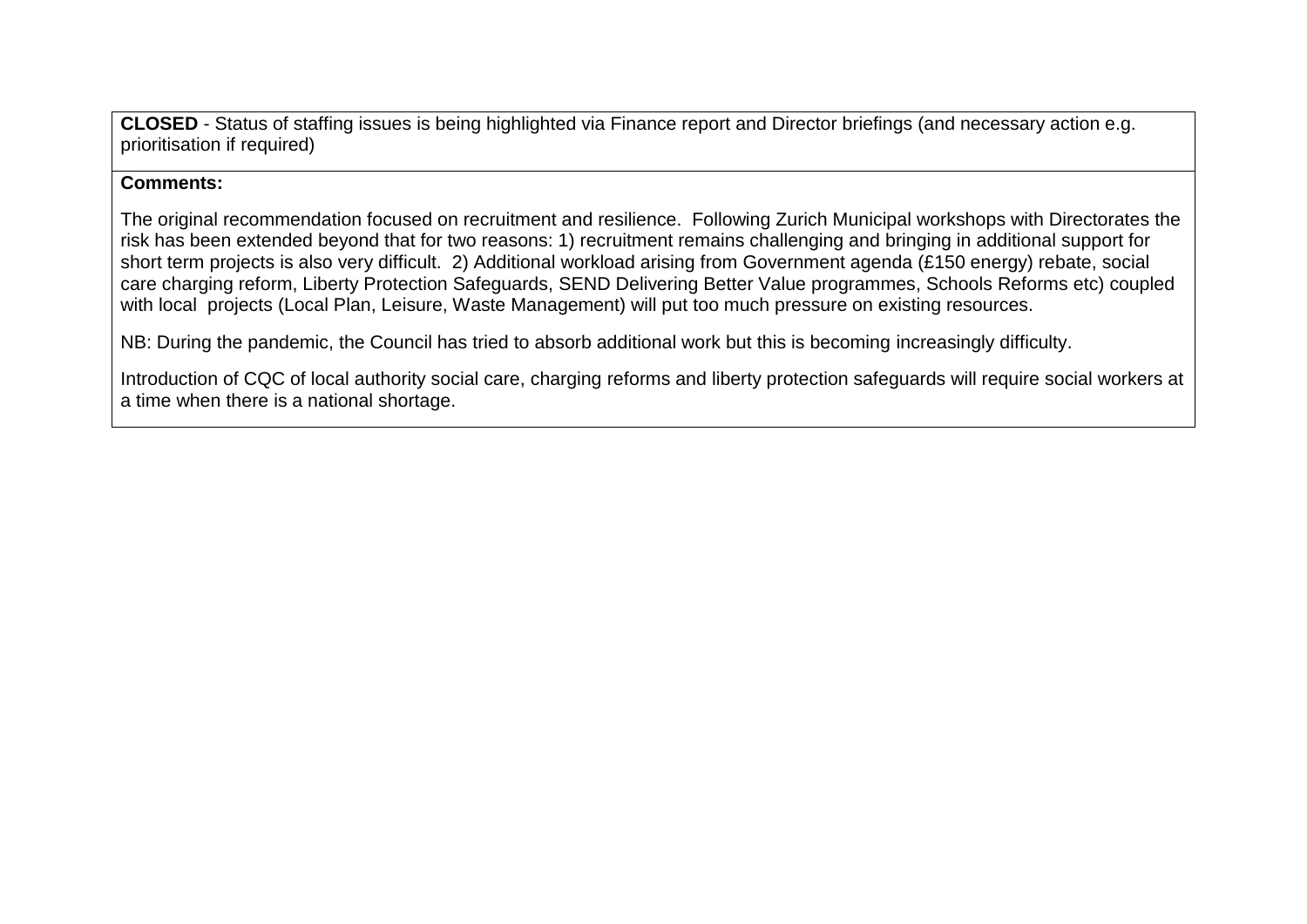**CLOSED** - Status of staffing issues is being highlighted via Finance report and Director briefings (and necessary action e.g. prioritisation if required)

### **Comments:**

The original recommendation focused on recruitment and resilience. Following Zurich Municipal workshops with Directorates the risk has been extended beyond that for two reasons: 1) recruitment remains challenging and bringing in additional support for short term projects is also very difficult. 2) Additional workload arising from Government agenda (£150 energy) rebate, social care charging reform, Liberty Protection Safeguards, SEND Delivering Better Value programmes, Schools Reforms etc) coupled with local projects (Local Plan, Leisure, Waste Management) will put too much pressure on existing resources.

NB: During the pandemic, the Council has tried to absorb additional work but this is becoming increasingly difficulty.

Introduction of CQC of local authority social care, charging reforms and liberty protection safeguards will require social workers at a time when there is a national shortage.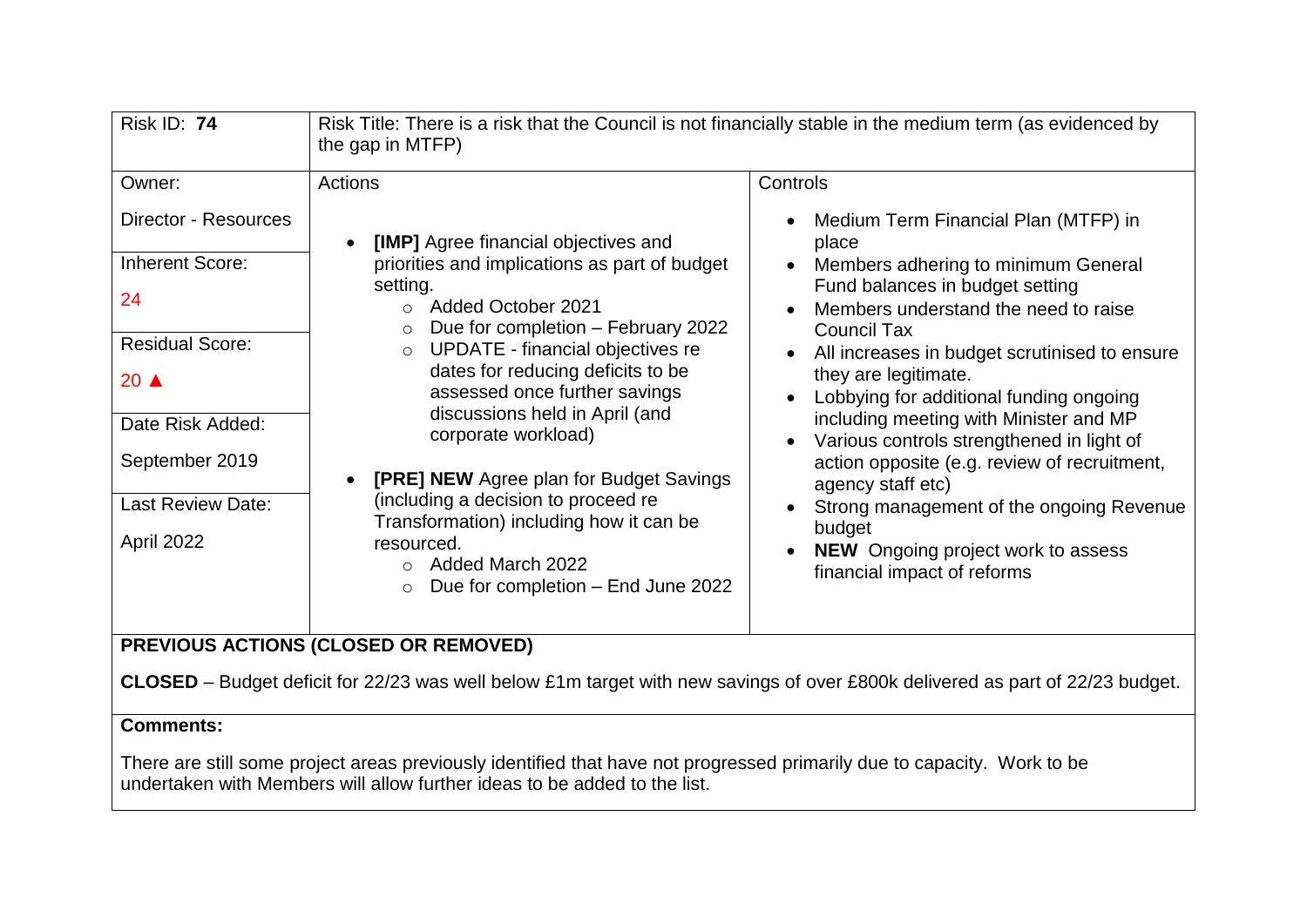| <b>Risk ID: 74</b>                                                                                                                                                               | Risk Title: There is a risk that the Council is not financially stable in the medium term (as evidenced by<br>the gap in MTFP)                                                                                                                                                                                                                                                                                                                                                                                                                                                                      |                                                                                                                                                                                                                                                                                                                                                                                                                                                                                                                                                                                                                                                                                                                |
|----------------------------------------------------------------------------------------------------------------------------------------------------------------------------------|-----------------------------------------------------------------------------------------------------------------------------------------------------------------------------------------------------------------------------------------------------------------------------------------------------------------------------------------------------------------------------------------------------------------------------------------------------------------------------------------------------------------------------------------------------------------------------------------------------|----------------------------------------------------------------------------------------------------------------------------------------------------------------------------------------------------------------------------------------------------------------------------------------------------------------------------------------------------------------------------------------------------------------------------------------------------------------------------------------------------------------------------------------------------------------------------------------------------------------------------------------------------------------------------------------------------------------|
| Owner:<br>Director - Resources<br><b>Inherent Score:</b><br>24<br><b>Residual Score:</b><br>20 ▲<br>Date Risk Added:<br>September 2019<br><b>Last Review Date:</b><br>April 2022 | Actions<br><b>[IMP]</b> Agree financial objectives and<br>$\bullet$<br>priorities and implications as part of budget<br>setting.<br><b>Added October 2021</b><br>$\bigcap$<br>Due for completion - February 2022<br>$\circ$<br><b>UPDATE</b> - financial objectives re<br>$\circ$<br>dates for reducing deficits to be<br>assessed once further savings<br>discussions held in April (and<br>corporate workload)<br><b>[PRE] NEW Agree plan for Budget Savings</b><br>$\bullet$<br>(including a decision to proceed re<br>Transformation) including how it can be<br>resourced.<br>Added March 2022 | Controls<br>Medium Term Financial Plan (MTFP) in<br>$\bullet$<br>place<br>Members adhering to minimum General<br>$\bullet$<br>Fund balances in budget setting<br>Members understand the need to raise<br>$\bullet$<br><b>Council Tax</b><br>All increases in budget scrutinised to ensure<br>$\bullet$<br>they are legitimate.<br>Lobbying for additional funding ongoing<br>including meeting with Minister and MP<br>Various controls strengthened in light of<br>$\bullet$<br>action opposite (e.g. review of recruitment,<br>agency staff etc)<br>Strong management of the ongoing Revenue<br>$\bullet$<br>budget<br><b>NEW</b> Ongoing project work to assess<br>$\bullet$<br>financial impact of reforms |
|                                                                                                                                                                                  | Due for completion - End June 2022                                                                                                                                                                                                                                                                                                                                                                                                                                                                                                                                                                  |                                                                                                                                                                                                                                                                                                                                                                                                                                                                                                                                                                                                                                                                                                                |

## **PREVIOUS ACTIONS (CLOSED OR REMOVED)**

**CLOSED** – Budget deficit for 22/23 was well below £1m target with new savings of over £800k delivered as part of 22/23 budget.

### **Comments:**

There are still some project areas previously identified that have not progressed primarily due to capacity. Work to be undertaken with Members will allow further ideas to be added to the list.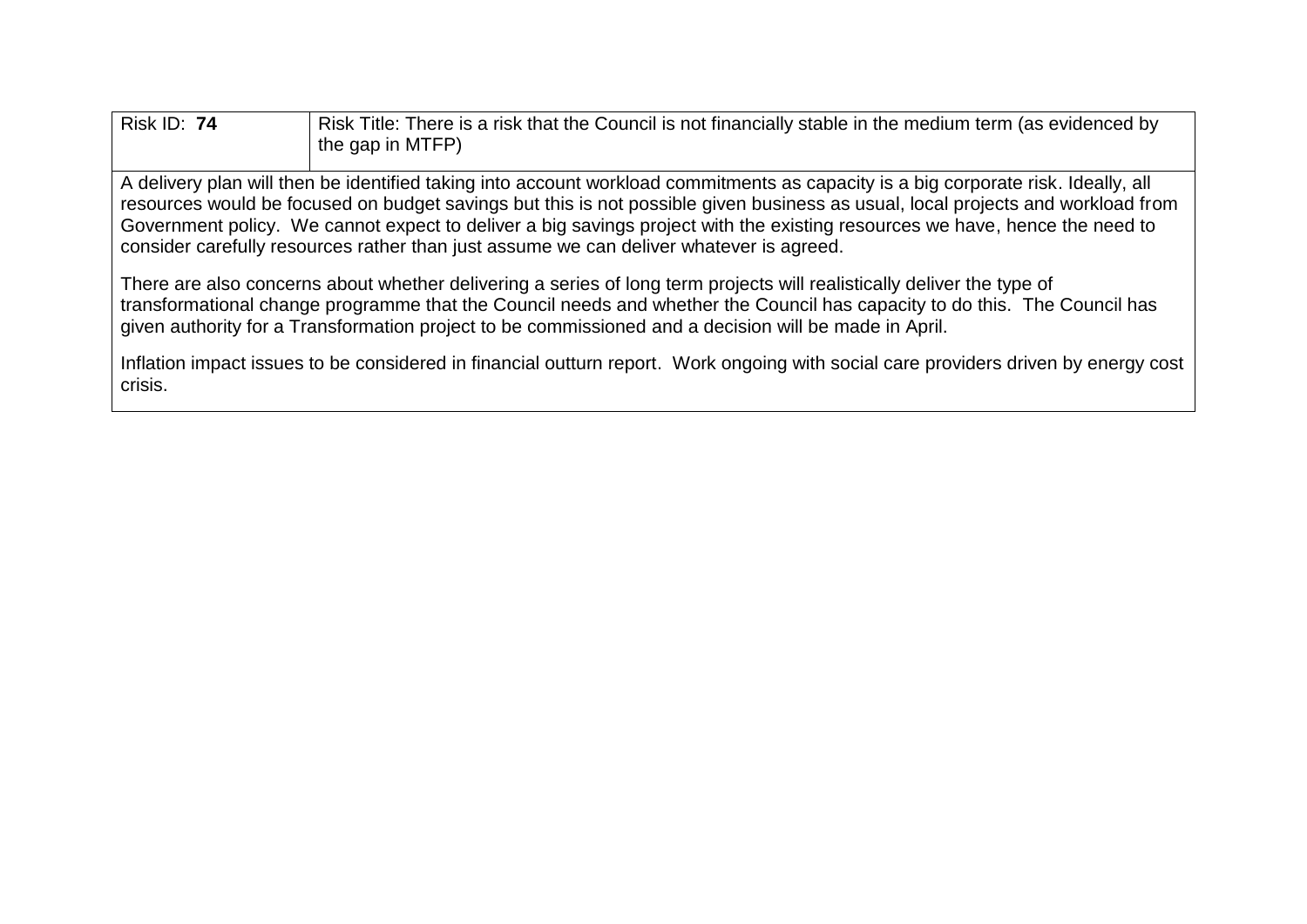| <b>Risk ID: 74</b>                                                                                                                                                                                                             | Risk Title: There is a risk that the Council is not financially stable in the medium term (as evidenced by<br>the gap in MTFP) |  |
|--------------------------------------------------------------------------------------------------------------------------------------------------------------------------------------------------------------------------------|--------------------------------------------------------------------------------------------------------------------------------|--|
| llo ulluchu allah haqip adamini boshqiptari qilimlarida qoshqiptarida qoshqiptarida qoshqiptarida qoshqiptarida qoshqiptarida qoshqiptarida qoshqiptarida qoshqiptarida qoshqiptarida qoshqiptarida qoshqiptarida qoshqiptarid |                                                                                                                                |  |

A delivery plan will then be identified taking into account workload commitments as capacity is a big corporate risk. Ideally, all resources would be focused on budget savings but this is not possible given business as usual, local projects and workload from Government policy. We cannot expect to deliver a big savings project with the existing resources we have, hence the need to consider carefully resources rather than just assume we can deliver whatever is agreed.

There are also concerns about whether delivering a series of long term projects will realistically deliver the type of transformational change programme that the Council needs and whether the Council has capacity to do this. The Council has given authority for a Transformation project to be commissioned and a decision will be made in April.

Inflation impact issues to be considered in financial outturn report. Work ongoing with social care providers driven by energy cost crisis.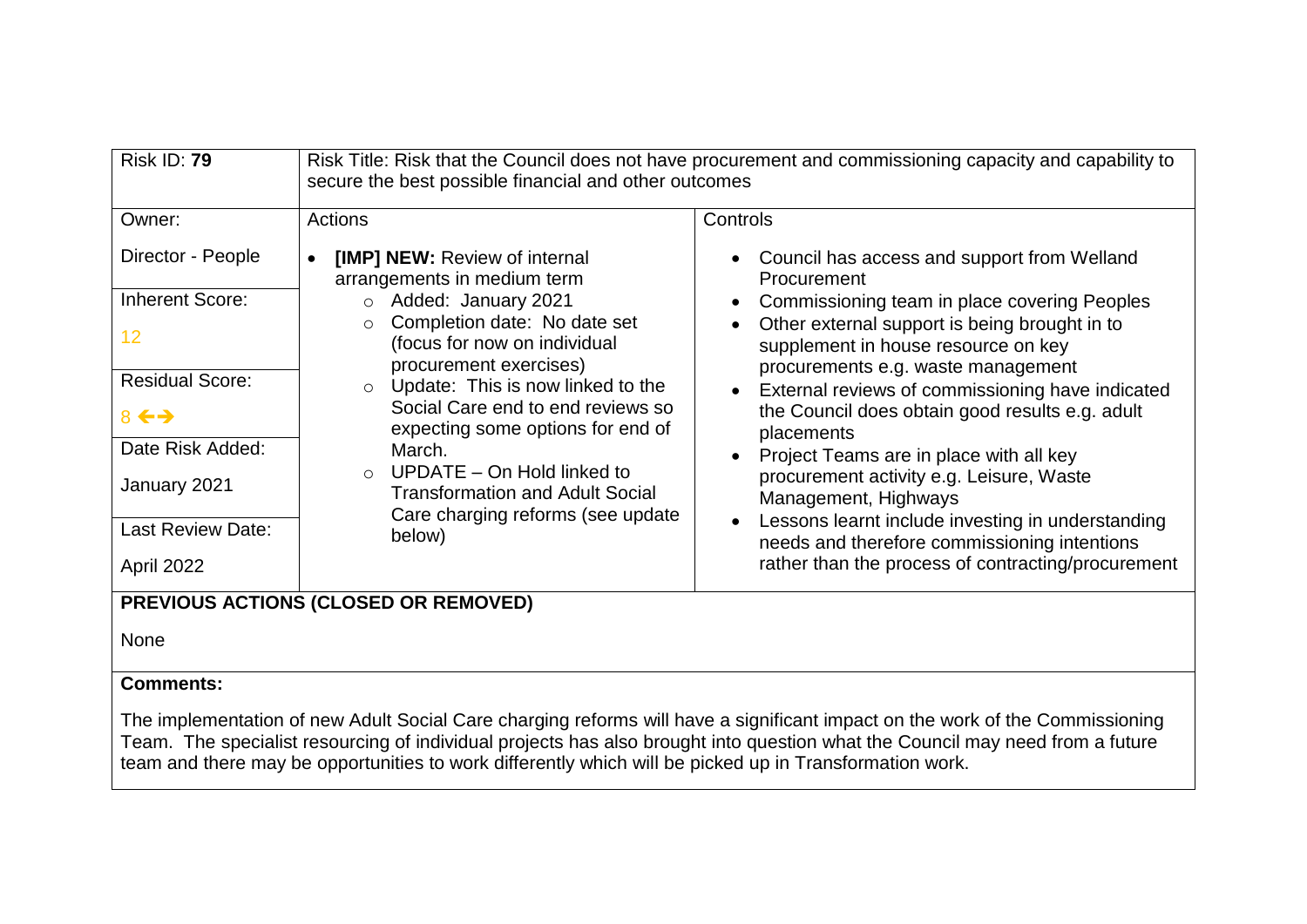| <b>Risk ID: 79</b>                                                                                                                                                 | secure the best possible financial and other outcomes                                                                                                                                                                                                                                                                                                                                                                                                                   | Risk Title: Risk that the Council does not have procurement and commissioning capacity and capability to                                                                                                                                                                                                                                                                                                                                                                                                                                                                                                                                |  |
|--------------------------------------------------------------------------------------------------------------------------------------------------------------------|-------------------------------------------------------------------------------------------------------------------------------------------------------------------------------------------------------------------------------------------------------------------------------------------------------------------------------------------------------------------------------------------------------------------------------------------------------------------------|-----------------------------------------------------------------------------------------------------------------------------------------------------------------------------------------------------------------------------------------------------------------------------------------------------------------------------------------------------------------------------------------------------------------------------------------------------------------------------------------------------------------------------------------------------------------------------------------------------------------------------------------|--|
| Owner:                                                                                                                                                             | Actions                                                                                                                                                                                                                                                                                                                                                                                                                                                                 | Controls                                                                                                                                                                                                                                                                                                                                                                                                                                                                                                                                                                                                                                |  |
| Director - People<br><b>Inherent Score:</b><br>12<br><b>Residual Score:</b><br>$8 \leftrightarrow$<br>Date Risk Added:<br>January 2021<br><b>Last Review Date:</b> | [IMP] NEW: Review of internal<br>$\bullet$<br>arrangements in medium term<br>o Added: January 2021<br>Completion date: No date set<br>$\circ$<br>(focus for now on individual<br>procurement exercises)<br>$\circ$ Update: This is now linked to the<br>Social Care end to end reviews so<br>expecting some options for end of<br>March.<br>$\circ$ UPDATE – On Hold linked to<br><b>Transformation and Adult Social</b><br>Care charging reforms (see update<br>below) | Council has access and support from Welland<br>Procurement<br>Commissioning team in place covering Peoples<br>Other external support is being brought in to<br>supplement in house resource on key<br>procurements e.g. waste management<br>External reviews of commissioning have indicated<br>the Council does obtain good results e.g. adult<br>placements<br>Project Teams are in place with all key<br>procurement activity e.g. Leisure, Waste<br>Management, Highways<br>Lessons learnt include investing in understanding<br>needs and therefore commissioning intentions<br>rather than the process of contracting/procurement |  |
| April 2022                                                                                                                                                         |                                                                                                                                                                                                                                                                                                                                                                                                                                                                         |                                                                                                                                                                                                                                                                                                                                                                                                                                                                                                                                                                                                                                         |  |
| PREVIOUS ACTIONS (CLOSED OR REMOVED)                                                                                                                               |                                                                                                                                                                                                                                                                                                                                                                                                                                                                         |                                                                                                                                                                                                                                                                                                                                                                                                                                                                                                                                                                                                                                         |  |
| <b>None</b>                                                                                                                                                        |                                                                                                                                                                                                                                                                                                                                                                                                                                                                         |                                                                                                                                                                                                                                                                                                                                                                                                                                                                                                                                                                                                                                         |  |
| <b>Comments:</b>                                                                                                                                                   |                                                                                                                                                                                                                                                                                                                                                                                                                                                                         |                                                                                                                                                                                                                                                                                                                                                                                                                                                                                                                                                                                                                                         |  |

The implementation of new Adult Social Care charging reforms will have a significant impact on the work of the Commissioning Team. The specialist resourcing of individual projects has also brought into question what the Council may need from a future team and there may be opportunities to work differently which will be picked up in Transformation work.